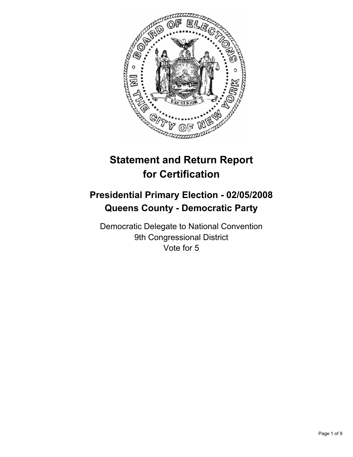

# **Statement and Return Report for Certification**

## **Presidential Primary Election - 02/05/2008 Queens County - Democratic Party**

Democratic Delegate to National Convention 9th Congressional District Vote for 5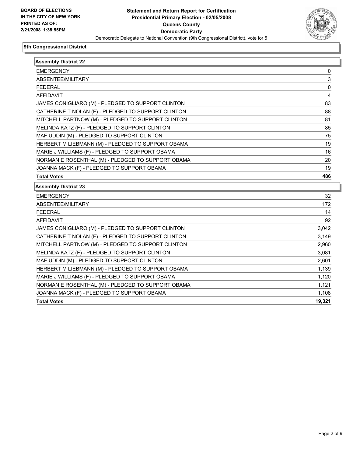

| <b>Assembly District 22</b>                        |             |
|----------------------------------------------------|-------------|
| <b>EMERGENCY</b>                                   | 0           |
| ABSENTEE/MILITARY                                  | 3           |
| <b>FEDERAL</b>                                     | $\mathbf 0$ |
| <b>AFFIDAVIT</b>                                   | 4           |
| JAMES CONIGLIARO (M) - PLEDGED TO SUPPORT CLINTON  | 83          |
| CATHERINE T NOLAN (F) - PLEDGED TO SUPPORT CLINTON | 88          |
| MITCHELL PARTNOW (M) - PLEDGED TO SUPPORT CLINTON  | 81          |
| MELINDA KATZ (F) - PLEDGED TO SUPPORT CLINTON      | 85          |
| MAF UDDIN (M) - PLEDGED TO SUPPORT CLINTON         | 75          |
| HERBERT M LIEBMANN (M) - PLEDGED TO SUPPORT OBAMA  | 19          |
| MARIE J WILLIAMS (F) - PLEDGED TO SUPPORT OBAMA    | 16          |
| NORMAN E ROSENTHAL (M) - PLEDGED TO SUPPORT OBAMA  | 20          |
| JOANNA MACK (F) - PLEDGED TO SUPPORT OBAMA         | 19          |
| <b>Total Votes</b>                                 | 486         |
| <b>Assembly District 23</b>                        |             |
| <b>EMERGENCY</b>                                   | 32          |
| ABSENTEE/MILITARY                                  | 172         |
| <b>FEDERAL</b>                                     | 14          |
| <b>AFFIDAVIT</b>                                   | 92          |
| JAMES CONIGLIARO (M) - PLEDGED TO SUPPORT CLINTON  | 3,042       |
| CATHERINE T NOLAN (F) - PLEDGED TO SUPPORT CLINTON | 3,149       |
| MITCHELL PARTNOW (M) - PLEDGED TO SUPPORT CLINTON  | 2,960       |
| MELINDA KATZ (F) - PLEDGED TO SUPPORT CLINTON      | 3,081       |
| MAF UDDIN (M) - PLEDGED TO SUPPORT CLINTON         | 2,601       |
| HERBERT M LIEBMANN (M) - PLEDGED TO SUPPORT OBAMA  | 1,139       |
| MARIE J WILLIAMS (F) - PLEDGED TO SUPPORT OBAMA    | 1,120       |
| NORMAN E ROSENTHAL (M) - PLEDGED TO SUPPORT OBAMA  | 1,121       |
| JOANNA MACK (F) - PLEDGED TO SUPPORT OBAMA         | 1,108       |
| <b>Total Votes</b>                                 | 19,321      |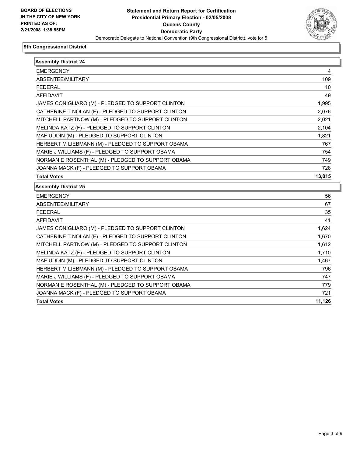

| <b>Assembly District 24</b>                        |        |
|----------------------------------------------------|--------|
| <b>EMERGENCY</b>                                   | 4      |
| ABSENTEE/MILITARY                                  | 109    |
| <b>FEDERAL</b>                                     | 10     |
| <b>AFFIDAVIT</b>                                   | 49     |
| JAMES CONIGLIARO (M) - PLEDGED TO SUPPORT CLINTON  | 1,995  |
| CATHERINE T NOLAN (F) - PLEDGED TO SUPPORT CLINTON | 2,076  |
| MITCHELL PARTNOW (M) - PLEDGED TO SUPPORT CLINTON  | 2,021  |
| MELINDA KATZ (F) - PLEDGED TO SUPPORT CLINTON      | 2,104  |
| MAF UDDIN (M) - PLEDGED TO SUPPORT CLINTON         | 1,821  |
| HERBERT M LIEBMANN (M) - PLEDGED TO SUPPORT OBAMA  | 767    |
| MARIE J WILLIAMS (F) - PLEDGED TO SUPPORT OBAMA    | 754    |
| NORMAN E ROSENTHAL (M) - PLEDGED TO SUPPORT OBAMA  | 749    |
| JOANNA MACK (F) - PLEDGED TO SUPPORT OBAMA         | 728    |
| <b>Total Votes</b>                                 | 13,015 |
|                                                    |        |
| <b>Assembly District 25</b>                        |        |
| <b>EMERGENCY</b>                                   | 56     |
| ABSENTEE/MILITARY                                  | 67     |
| <b>FEDERAL</b>                                     | 35     |
| <b>AFFIDAVIT</b>                                   | 41     |
| JAMES CONIGLIARO (M) - PLEDGED TO SUPPORT CLINTON  | 1,624  |
| CATHERINE T NOLAN (F) - PLEDGED TO SUPPORT CLINTON | 1,670  |
| MITCHELL PARTNOW (M) - PLEDGED TO SUPPORT CLINTON  | 1,612  |
| MELINDA KATZ (F) - PLEDGED TO SUPPORT CLINTON      | 1,710  |
| MAF UDDIN (M) - PLEDGED TO SUPPORT CLINTON         | 1,467  |
| HERBERT M LIEBMANN (M) - PLEDGED TO SUPPORT OBAMA  | 796    |
| MARIE J WILLIAMS (F) - PLEDGED TO SUPPORT OBAMA    | 747    |
| NORMAN E ROSENTHAL (M) - PLEDGED TO SUPPORT OBAMA  | 779    |
| JOANNA MACK (F) - PLEDGED TO SUPPORT OBAMA         | 721    |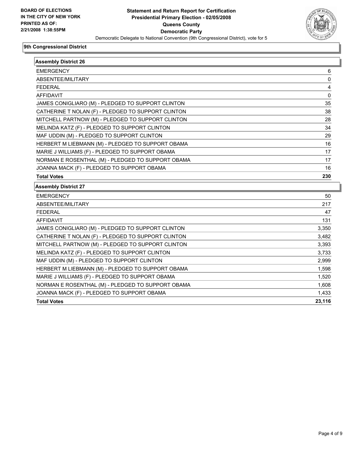

| <b>Assembly District 26</b>                        |                |
|----------------------------------------------------|----------------|
| <b>EMERGENCY</b>                                   | 6              |
| ABSENTEE/MILITARY                                  | 0              |
| <b>FEDERAL</b>                                     | 4              |
| <b>AFFIDAVIT</b>                                   | 0              |
| JAMES CONIGLIARO (M) - PLEDGED TO SUPPORT CLINTON  | 35             |
| CATHERINE T NOLAN (F) - PLEDGED TO SUPPORT CLINTON | 38             |
| MITCHELL PARTNOW (M) - PLEDGED TO SUPPORT CLINTON  | 28             |
| MELINDA KATZ (F) - PLEDGED TO SUPPORT CLINTON      | 34             |
| MAF UDDIN (M) - PLEDGED TO SUPPORT CLINTON         | 29             |
| HERBERT M LIEBMANN (M) - PLEDGED TO SUPPORT OBAMA  | 16             |
| MARIE J WILLIAMS (F) - PLEDGED TO SUPPORT OBAMA    | 17             |
| NORMAN E ROSENTHAL (M) - PLEDGED TO SUPPORT OBAMA  | 17             |
| JOANNA MACK (F) - PLEDGED TO SUPPORT OBAMA         | 16             |
| <b>Total Votes</b>                                 | 230            |
| <b>Assembly District 27</b>                        |                |
| <b>EMERGENCY</b>                                   | 50             |
| ABSENTEE/MILITARY                                  | 217            |
| <b>FEDERAL</b>                                     | 47             |
| <b>AFFIDAVIT</b>                                   | 131            |
| JAMES CONIGLIARO (M) - PLEDGED TO SUPPORT CLINTON  | 3,350          |
| CATHERINE T NOLAN (F) - PLEDGED TO SUPPORT CLINTON | 3,482          |
| MITCHELL PARTNOW (M) - PLEDGED TO SUPPORT CLINTON  | 3,393          |
| MELINDA KATZ (F) - PLEDGED TO SUPPORT CLINTON      | 3,733          |
| MAF UDDIN (M) - PLEDGED TO SUPPORT CLINTON         | 2,999          |
| HERBERT M LIEBMANN (M) - PLEDGED TO SUPPORT OBAMA  | 1,598          |
| MARIE J WILLIAMS (F) - PLEDGED TO SUPPORT OBAMA    | 1,520          |
| NORMAN E ROSENTHAL (M) - PLEDGED TO SUPPORT OBAMA  |                |
|                                                    |                |
| JOANNA MACK (F) - PLEDGED TO SUPPORT OBAMA         | 1,608<br>1,433 |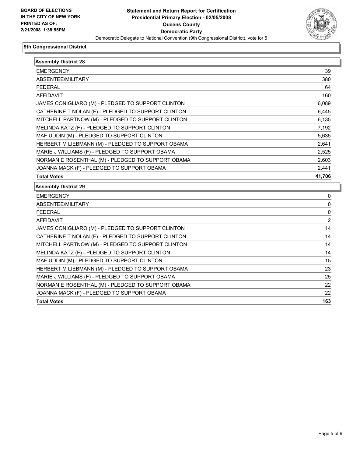

| <b>Assembly District 28</b>                        |                |
|----------------------------------------------------|----------------|
| <b>EMERGENCY</b>                                   | 39             |
| ABSENTEE/MILITARY                                  | 380            |
| <b>FEDERAL</b>                                     | 64             |
| <b>AFFIDAVIT</b>                                   | 160            |
| JAMES CONIGLIARO (M) - PLEDGED TO SUPPORT CLINTON  | 6,089          |
| CATHERINE T NOLAN (F) - PLEDGED TO SUPPORT CLINTON | 6,445          |
| MITCHELL PARTNOW (M) - PLEDGED TO SUPPORT CLINTON  | 6,135          |
| MELINDA KATZ (F) - PLEDGED TO SUPPORT CLINTON      | 7,192          |
| MAF UDDIN (M) - PLEDGED TO SUPPORT CLINTON         | 5,635          |
| HERBERT M LIEBMANN (M) - PLEDGED TO SUPPORT OBAMA  | 2,641          |
| MARIE J WILLIAMS (F) - PLEDGED TO SUPPORT OBAMA    | 2,525          |
| NORMAN E ROSENTHAL (M) - PLEDGED TO SUPPORT OBAMA  | 2,603          |
| JOANNA MACK (F) - PLEDGED TO SUPPORT OBAMA         | 2,441          |
| <b>Total Votes</b>                                 | 41,706         |
| <b>Assembly District 29</b>                        |                |
| <b>EMERGENCY</b>                                   | 0              |
| ABSENTEE/MILITARY                                  | 0              |
| <b>FEDERAL</b>                                     | 0              |
| <b>AFFIDAVIT</b>                                   | $\overline{2}$ |
| JAMES CONIGLIARO (M) - PLEDGED TO SUPPORT CLINTON  | 14             |
| CATHERINE T NOLAN (F) - PLEDGED TO SUPPORT CLINTON | 14             |
| MITCHELL PARTNOW (M) - PLEDGED TO SUPPORT CLINTON  | 14             |
| MELINDA KATZ (F) - PLEDGED TO SUPPORT CLINTON      | 14             |
| MAF UDDIN (M) - PLEDGED TO SUPPORT CLINTON         | 15             |
| HERBERT M LIEBMANN (M) - PLEDGED TO SUPPORT OBAMA  | 23             |
| MARIE J WILLIAMS (F) - PLEDGED TO SUPPORT OBAMA    | 25             |
| NORMAN E ROSENTHAL (M) - PLEDGED TO SUPPORT OBAMA  | 22             |
| JOANNA MACK (F) - PLEDGED TO SUPPORT OBAMA         | 22             |
| <b>Total Votes</b>                                 | 163            |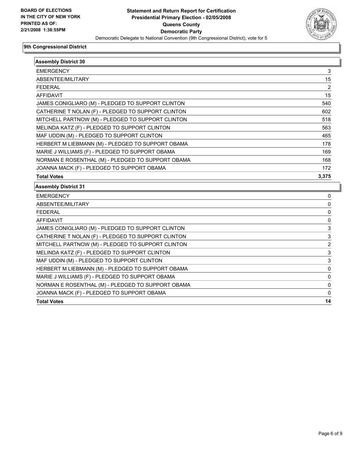

| <b>Assembly District 30</b>                        |                |
|----------------------------------------------------|----------------|
| <b>EMERGENCY</b>                                   | 3              |
| ABSENTEE/MILITARY                                  | 15             |
| <b>FEDERAL</b>                                     | 2              |
| <b>AFFIDAVIT</b>                                   | 15             |
| JAMES CONIGLIARO (M) - PLEDGED TO SUPPORT CLINTON  | 540            |
| CATHERINE T NOLAN (F) - PLEDGED TO SUPPORT CLINTON | 602            |
| MITCHELL PARTNOW (M) - PLEDGED TO SUPPORT CLINTON  | 518            |
| MELINDA KATZ (F) - PLEDGED TO SUPPORT CLINTON      | 563            |
| MAF UDDIN (M) - PLEDGED TO SUPPORT CLINTON         | 465            |
| HERBERT M LIEBMANN (M) - PLEDGED TO SUPPORT OBAMA  | 178            |
| MARIE J WILLIAMS (F) - PLEDGED TO SUPPORT OBAMA    | 169            |
| NORMAN E ROSENTHAL (M) - PLEDGED TO SUPPORT OBAMA  | 168            |
| JOANNA MACK (F) - PLEDGED TO SUPPORT OBAMA         | 172            |
| <b>Total Votes</b>                                 | 3,375          |
| <b>Assembly District 31</b>                        |                |
| <b>EMERGENCY</b>                                   | 0              |
| ABSENTEE/MILITARY                                  | 0              |
| <b>FEDERAL</b>                                     | 0              |
| <b>AFFIDAVIT</b>                                   | 0              |
| JAMES CONIGLIARO (M) - PLEDGED TO SUPPORT CLINTON  | 3              |
| CATHERINE T NOLAN (F) - PLEDGED TO SUPPORT CLINTON | 3              |
| MITCHELL PARTNOW (M) - PLEDGED TO SUPPORT CLINTON  | $\overline{2}$ |
| MELINDA KATZ (F) - PLEDGED TO SUPPORT CLINTON      | 3              |
| MAF UDDIN (M) - PLEDGED TO SUPPORT CLINTON         | 3              |
| HERBERT M LIEBMANN (M) - PLEDGED TO SUPPORT OBAMA  | 0              |
| MARIE J WILLIAMS (F) - PLEDGED TO SUPPORT OBAMA    | 0              |
| NORMAN E ROSENTHAL (M) - PLEDGED TO SUPPORT OBAMA  | 0              |
| JOANNA MACK (F) - PLEDGED TO SUPPORT OBAMA         | 0              |
| <b>Total Votes</b>                                 | 14             |
|                                                    |                |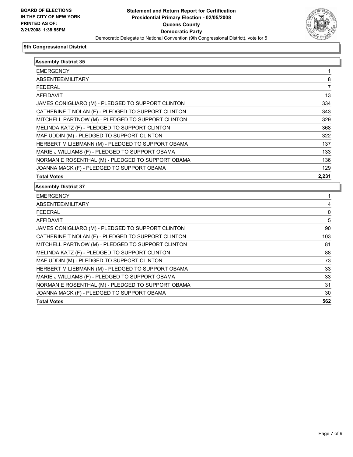

| <b>Assembly District 35</b>                        |       |
|----------------------------------------------------|-------|
| <b>EMERGENCY</b>                                   | 1     |
| ABSENTEE/MILITARY                                  | 8     |
| <b>FEDERAL</b>                                     | 7     |
| <b>AFFIDAVIT</b>                                   | 13    |
| JAMES CONIGLIARO (M) - PLEDGED TO SUPPORT CLINTON  | 334   |
| CATHERINE T NOLAN (F) - PLEDGED TO SUPPORT CLINTON | 343   |
| MITCHELL PARTNOW (M) - PLEDGED TO SUPPORT CLINTON  | 329   |
| MELINDA KATZ (F) - PLEDGED TO SUPPORT CLINTON      | 368   |
| MAF UDDIN (M) - PLEDGED TO SUPPORT CLINTON         | 322   |
| HERBERT M LIEBMANN (M) - PLEDGED TO SUPPORT OBAMA  | 137   |
| MARIE J WILLIAMS (F) - PLEDGED TO SUPPORT OBAMA    | 133   |
| NORMAN E ROSENTHAL (M) - PLEDGED TO SUPPORT OBAMA  | 136   |
| JOANNA MACK (F) - PLEDGED TO SUPPORT OBAMA         | 129   |
| <b>Total Votes</b>                                 | 2,231 |
| <b>Assembly District 37</b>                        |       |
| <b>EMERGENCY</b>                                   |       |
| ABSENTEE/MILITARY                                  | 4     |
| <b>FEDERAL</b>                                     | 0     |
| <b>AFFIDAVIT</b>                                   | 5     |
| JAMES CONIGLIARO (M) - PLEDGED TO SUPPORT CLINTON  | 90    |
| CATHERINE T NOLAN (F) - PLEDGED TO SUPPORT CLINTON | 103   |
| MITCHELL PARTNOW (M) - PLEDGED TO SUPPORT CLINTON  | 81    |
| MELINDA KATZ (F) - PLEDGED TO SUPPORT CLINTON      | 88    |
| MAF UDDIN (M) - PLEDGED TO SUPPORT CLINTON         | 73    |
| HERBERT M LIEBMANN (M) - PLEDGED TO SUPPORT OBAMA  | 33    |
| MARIE J WILLIAMS (F) - PLEDGED TO SUPPORT OBAMA    | 33    |
| NORMAN E ROSENTHAL (M) - PLEDGED TO SUPPORT OBAMA  | 31    |
| JOANNA MACK (F) - PLEDGED TO SUPPORT OBAMA         | 30    |
| <b>Total Votes</b>                                 |       |
|                                                    | 562   |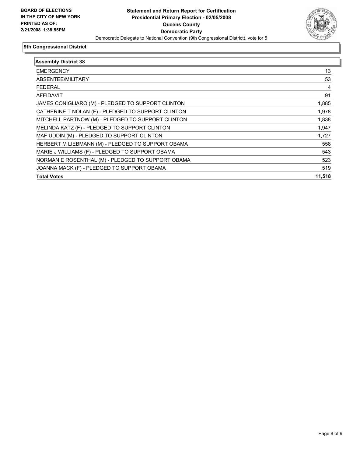

| <b>Assembly District 38</b>                        |        |
|----------------------------------------------------|--------|
| <b>EMERGENCY</b>                                   | 13     |
| ABSENTEE/MILITARY                                  | 53     |
| <b>FEDERAL</b>                                     | 4      |
| <b>AFFIDAVIT</b>                                   | 91     |
| JAMES CONIGLIARO (M) - PLEDGED TO SUPPORT CLINTON  | 1,885  |
| CATHERINE T NOLAN (F) - PLEDGED TO SUPPORT CLINTON | 1,978  |
| MITCHELL PARTNOW (M) - PLEDGED TO SUPPORT CLINTON  | 1,838  |
| MELINDA KATZ (F) - PLEDGED TO SUPPORT CLINTON      | 1,947  |
| MAF UDDIN (M) - PLEDGED TO SUPPORT CLINTON         | 1,727  |
| HERBERT M LIEBMANN (M) - PLEDGED TO SUPPORT OBAMA  | 558    |
| MARIE J WILLIAMS (F) - PLEDGED TO SUPPORT OBAMA    | 543    |
| NORMAN E ROSENTHAL (M) - PLEDGED TO SUPPORT OBAMA  | 523    |
| JOANNA MACK (F) - PLEDGED TO SUPPORT OBAMA         | 519    |
| <b>Total Votes</b>                                 | 11,518 |
|                                                    |        |